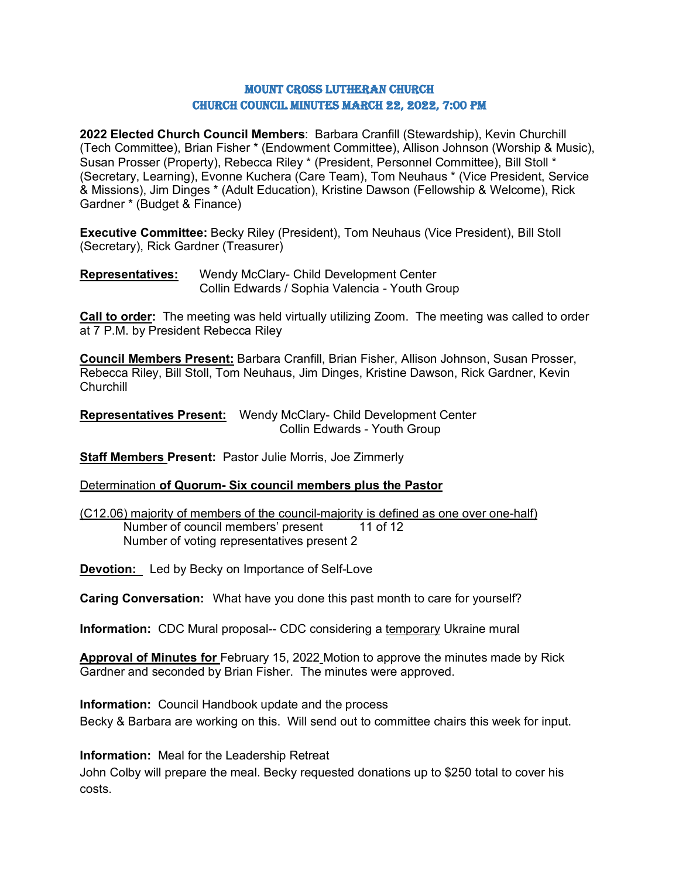### Mount Cross Lutheran Church Church Council Minutes March 22, 2022, 7:00 PM

**2022 Elected Church Council Members**: Barbara Cranfill (Stewardship), Kevin Churchill (Tech Committee), Brian Fisher \* (Endowment Committee), Allison Johnson (Worship & Music), Susan Prosser (Property), Rebecca Riley \* (President, Personnel Committee), Bill Stoll \* (Secretary, Learning), Evonne Kuchera (Care Team), Tom Neuhaus \* (Vice President, Service & Missions), Jim Dinges \* (Adult Education), Kristine Dawson (Fellowship & Welcome), Rick Gardner \* (Budget & Finance)

**Executive Committee:** Becky Riley (President), Tom Neuhaus (Vice President), Bill Stoll (Secretary), Rick Gardner (Treasurer)

**Representatives:** Wendy McClary- Child Development Center Collin Edwards / Sophia Valencia - Youth Group

**Call to order:** The meeting was held virtually utilizing Zoom. The meeting was called to order at 7 P.M. by President Rebecca Riley

**Council Members Present:** Barbara Cranfill, Brian Fisher, Allison Johnson, Susan Prosser, Rebecca Riley, Bill Stoll, Tom Neuhaus, Jim Dinges, Kristine Dawson, Rick Gardner, Kevin **Churchill** 

**Representatives Present:** Wendy McClary- Child Development Center Collin Edwards - Youth Group

**Staff Members Present:** Pastor Julie Morris, Joe Zimmerly

Determination **of Quorum- Six council members plus the Pastor**

(C12.06) majority of members of the council-majority is defined as one over one-half) Number of council members' present 11 of 12 Number of voting representatives present 2

**Devotion:** Led by Becky on Importance of Self-Love

**Caring Conversation:** What have you done this past month to care for yourself?

**Information:** CDC Mural proposal-- CDC considering a temporary Ukraine mural

**Approval of Minutes for** February 15, 2022 Motion to approve the minutes made by Rick Gardner and seconded by Brian Fisher. The minutes were approved.

**Information:** Council Handbook update and the process Becky & Barbara are working on this. Will send out to committee chairs this week for input.

**Information:** Meal for the Leadership Retreat

John Colby will prepare the meal. Becky requested donations up to \$250 total to cover his costs.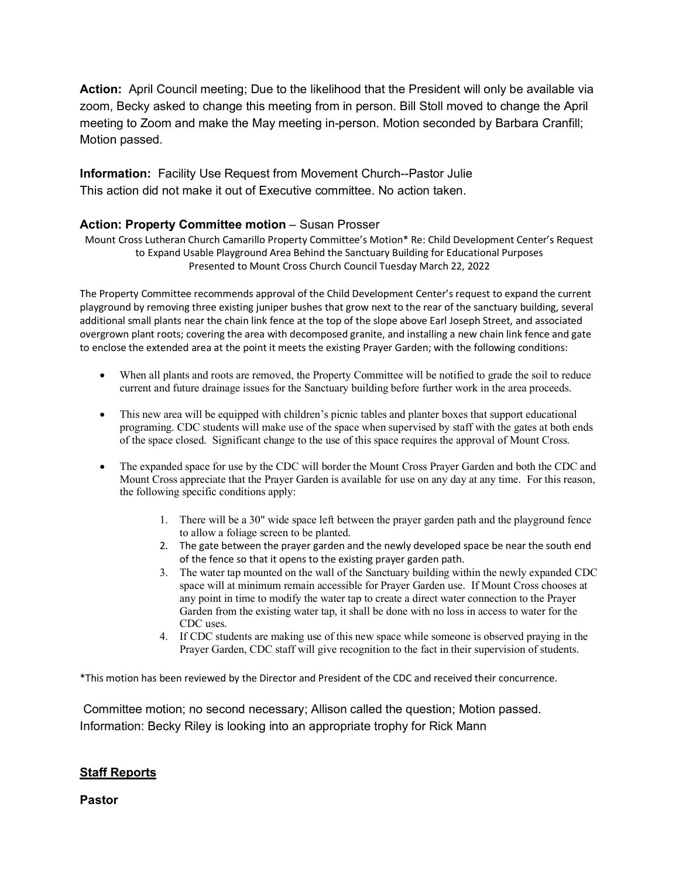**Action:** April Council meeting; Due to the likelihood that the President will only be available via zoom, Becky asked to change this meeting from in person. Bill Stoll moved to change the April meeting to Zoom and make the May meeting in-person. Motion seconded by Barbara Cranfill; Motion passed.

**Information:** Facility Use Request from Movement Church--Pastor Julie This action did not make it out of Executive committee. No action taken.

### **Action: Property Committee motion** – Susan Prosser

Mount Cross Lutheran Church Camarillo Property Committee's Motion\* Re: Child Development Center's Request to Expand Usable Playground Area Behind the Sanctuary Building for Educational Purposes Presented to Mount Cross Church Council Tuesday March 22, 2022

The Property Committee recommends approval of the Child Development Center's request to expand the current playground by removing three existing juniper bushes that grow next to the rear of the sanctuary building, several additional small plants near the chain link fence at the top of the slope above Earl Joseph Street, and associated overgrown plant roots; covering the area with decomposed granite, and installing a new chain link fence and gate to enclose the extended area at the point it meets the existing Prayer Garden; with the following conditions:

- When all plants and roots are removed, the Property Committee will be notified to grade the soil to reduce current and future drainage issues for the Sanctuary building before further work in the area proceeds.
- This new area will be equipped with children's picnic tables and planter boxes that support educational programing. CDC students will make use of the space when supervised by staff with the gates at both ends of the space closed. Significant change to the use of this space requires the approval of Mount Cross.
- The expanded space for use by the CDC will border the Mount Cross Prayer Garden and both the CDC and Mount Cross appreciate that the Prayer Garden is available for use on any day at any time. For this reason, the following specific conditions apply:
	- 1. There will be a 30" wide space left between the prayer garden path and the playground fence to allow a foliage screen to be planted.
	- 2. The gate between the prayer garden and the newly developed space be near the south end of the fence so that it opens to the existing prayer garden path.
	- 3. The water tap mounted on the wall of the Sanctuary building within the newly expanded CDC space will at minimum remain accessible for Prayer Garden use. If Mount Cross chooses at any point in time to modify the water tap to create a direct water connection to the Prayer Garden from the existing water tap, it shall be done with no loss in access to water for the CDC uses.
	- 4. If CDC students are making use of this new space while someone is observed praying in the Prayer Garden, CDC staff will give recognition to the fact in their supervision of students.

\*This motion has been reviewed by the Director and President of the CDC and received their concurrence.

Committee motion; no second necessary; Allison called the question; Motion passed. Information: Becky Riley is looking into an appropriate trophy for Rick Mann

## **Staff Reports**

**Pastor**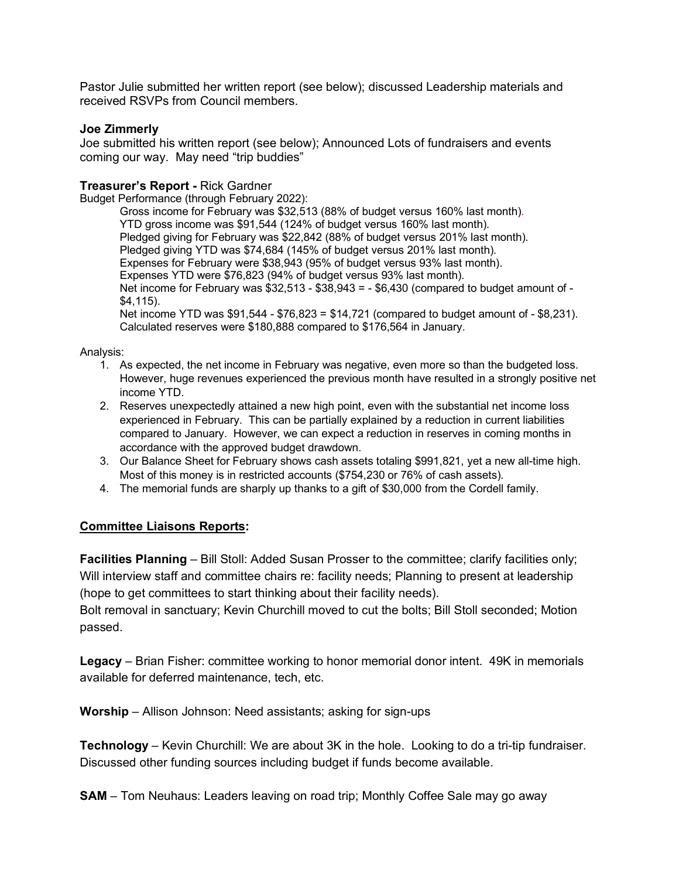Pastor Julie submitted her written report (see below); discussed Leadership materials and received RSVPs from Council members.

### **Joe Zimmerly**

Joe submitted his written report (see below); Announced Lots of fundraisers and events coming our way. May need "trip buddies"

### **Treasurer's Report -** Rick Gardner

Budget Performance (through February 2022):

Gross income for February was \$32,513 (88% of budget versus 160% last month). YTD gross income was \$91,544 (124% of budget versus 160% last month). Pledged giving for February was \$22,842 (88% of budget versus 201% last month). Pledged giving YTD was \$74,684 (145% of budget versus 201% last month). Expenses for February were \$38,943 (95% of budget versus 93% last month). Expenses YTD were \$76,823 (94% of budget versus 93% last month). Net income for February was  $$32,513 - $38,943 = - $6,430$  (compared to budget amount of -\$4,115). Net income YTD was \$91,544 - \$76,823 = \$14,721 (compared to budget amount of - \$8,231). Calculated reserves were \$180,888 compared to \$176,564 in January.

Analysis:

- 1. As expected, the net income in February was negative, even more so than the budgeted loss. However, huge revenues experienced the previous month have resulted in a strongly positive net income YTD.
- 2. Reserves unexpectedly attained a new high point, even with the substantial net income loss experienced in February. This can be partially explained by a reduction in current liabilities compared to January. However, we can expect a reduction in reserves in coming months in accordance with the approved budget drawdown.
- 3. Our Balance Sheet for February shows cash assets totaling \$991,821, yet a new all-time high. Most of this money is in restricted accounts (\$754,230 or 76% of cash assets).
- 4. The memorial funds are sharply up thanks to a gift of \$30,000 from the Cordell family.

## **Committee Liaisons Reports:**

**Facilities Planning** – Bill Stoll: Added Susan Prosser to the committee; clarify facilities only; Will interview staff and committee chairs re: facility needs; Planning to present at leadership (hope to get committees to start thinking about their facility needs).

Bolt removal in sanctuary; Kevin Churchill moved to cut the bolts; Bill Stoll seconded; Motion passed.

**Legacy** – Brian Fisher: committee working to honor memorial donor intent. 49K in memorials available for deferred maintenance, tech, etc.

**Worship** – Allison Johnson: Need assistants; asking for sign-ups

**Technology** – Kevin Churchill: We are about 3K in the hole. Looking to do a tri-tip fundraiser. Discussed other funding sources including budget if funds become available.

**SAM** – Tom Neuhaus: Leaders leaving on road trip; Monthly Coffee Sale may go away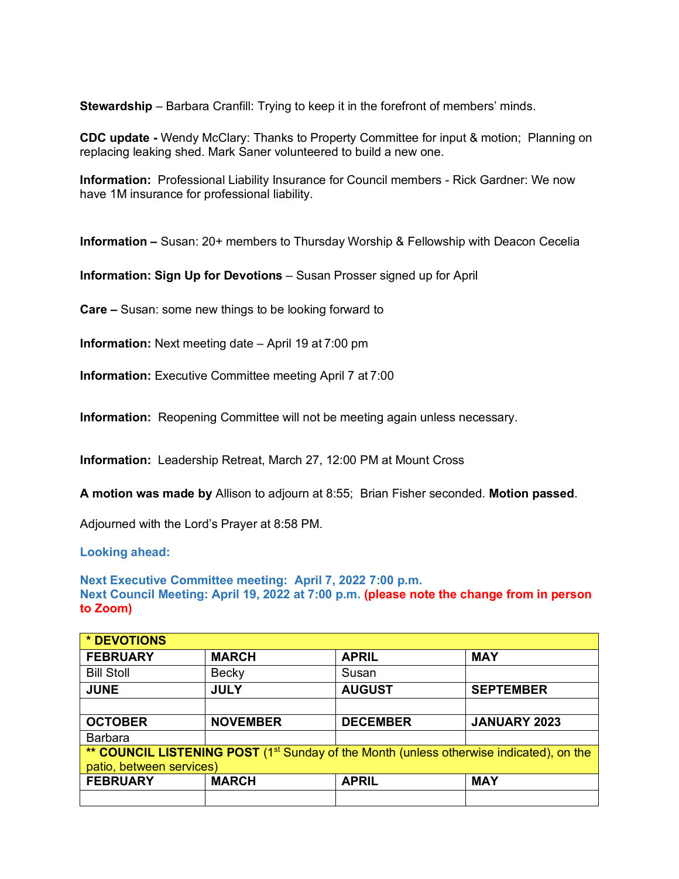**Stewardship** – Barbara Cranfill: Trying to keep it in the forefront of members' minds.

**CDC update -** Wendy McClary: Thanks to Property Committee for input & motion; Planning on replacing leaking shed. Mark Saner volunteered to build a new one.

**Information:** Professional Liability Insurance for Council members - Rick Gardner: We now have 1M insurance for professional liability.

**Information –** Susan: 20+ members to Thursday Worship & Fellowship with Deacon Cecelia

**Information: Sign Up for Devotions** – Susan Prosser signed up for April

**Care –** Susan: some new things to be looking forward to

**Information:** Next meeting date – April 19 at 7:00 pm

**Information:** Executive Committee meeting April 7 at 7:00

**Information:** Reopening Committee will not be meeting again unless necessary.

**Information:** Leadership Retreat, March 27, 12:00 PM at Mount Cross

**A motion was made by** Allison to adjourn at 8:55; Brian Fisher seconded. **Motion passed**.

Adjourned with the Lord's Prayer at 8:58 PM.

**Looking ahead:**

**Next Executive Committee meeting: April 7, 2022 7:00 p.m. Next Council Meeting: April 19, 2022 at 7:00 p.m. (please note the change from in person to Zoom)** 

| * DEVOTIONS                                                                                         |                 |                 |                     |  |
|-----------------------------------------------------------------------------------------------------|-----------------|-----------------|---------------------|--|
| <b>FEBRUARY</b>                                                                                     | <b>MARCH</b>    | <b>APRIL</b>    | <b>MAY</b>          |  |
| <b>Bill Stoll</b>                                                                                   | <b>Becky</b>    | Susan           |                     |  |
| <b>JUNE</b>                                                                                         | <b>JULY</b>     | <b>AUGUST</b>   | <b>SEPTEMBER</b>    |  |
|                                                                                                     |                 |                 |                     |  |
| <b>OCTOBER</b>                                                                                      | <b>NOVEMBER</b> | <b>DECEMBER</b> | <b>JANUARY 2023</b> |  |
| <b>Barbara</b>                                                                                      |                 |                 |                     |  |
| ** COUNCIL LISTENING POST (1 <sup>st</sup> Sunday of the Month (unless otherwise indicated), on the |                 |                 |                     |  |
| patio, between services)                                                                            |                 |                 |                     |  |
| <b>FEBRUARY</b>                                                                                     | <b>MARCH</b>    | <b>APRIL</b>    | <b>MAY</b>          |  |
|                                                                                                     |                 |                 |                     |  |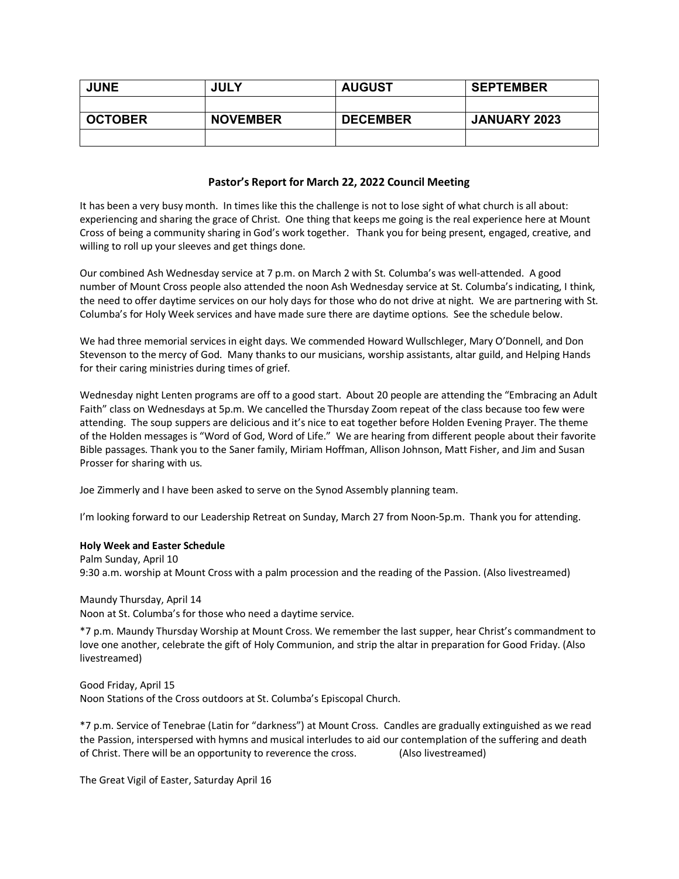| <b>JUNE</b>    | <b>JULY</b>     | <b>AUGUST</b>   | <b>SEPTEMBER</b>    |
|----------------|-----------------|-----------------|---------------------|
|                |                 |                 |                     |
| <b>OCTOBER</b> | <b>NOVEMBER</b> | <b>DECEMBER</b> | <b>JANUARY 2023</b> |
|                |                 |                 |                     |

### **Pastor's Report for March 22, 2022 Council Meeting**

It has been a very busy month. In times like this the challenge is not to lose sight of what church is all about: experiencing and sharing the grace of Christ. One thing that keeps me going is the real experience here at Mount Cross of being a community sharing in God's work together. Thank you for being present, engaged, creative, and willing to roll up your sleeves and get things done.

Our combined Ash Wednesday service at 7 p.m. on March 2 with St. Columba's was well-attended. A good number of Mount Cross people also attended the noon Ash Wednesday service at St. Columba's indicating, I think, the need to offer daytime services on our holy days for those who do not drive at night. We are partnering with St. Columba's for Holy Week services and have made sure there are daytime options. See the schedule below.

We had three memorial services in eight days. We commended Howard Wullschleger, Mary O'Donnell, and Don Stevenson to the mercy of God. Many thanks to our musicians, worship assistants, altar guild, and Helping Hands for their caring ministries during times of grief.

Wednesday night Lenten programs are off to a good start. About 20 people are attending the "Embracing an Adult Faith" class on Wednesdays at 5p.m. We cancelled the Thursday Zoom repeat of the class because too few were attending. The soup suppers are delicious and it's nice to eat together before Holden Evening Prayer. The theme of the Holden messages is "Word of God, Word of Life." We are hearing from different people about their favorite Bible passages. Thank you to the Saner family, Miriam Hoffman, Allison Johnson, Matt Fisher, and Jim and Susan Prosser for sharing with us.

Joe Zimmerly and I have been asked to serve on the Synod Assembly planning team.

I'm looking forward to our Leadership Retreat on Sunday, March 27 from Noon-5p.m. Thank you for attending.

### **Holy Week and Easter Schedule**

Palm Sunday, April 10 9:30 a.m. worship at Mount Cross with a palm procession and the reading of the Passion. (Also livestreamed)

Maundy Thursday, April 14 Noon at St. Columba's for those who need a daytime service.

\*7 p.m. Maundy Thursday Worship at Mount Cross. We remember the last supper, hear Christ's commandment to love one another, celebrate the gift of Holy Communion, and strip the altar in preparation for Good Friday. (Also livestreamed)

Good Friday, April 15 Noon Stations of the Cross outdoors at St. Columba's Episcopal Church.

\*7 p.m. Service of Tenebrae (Latin for "darkness") at Mount Cross. Candles are gradually extinguished as we read the Passion, interspersed with hymns and musical interludes to aid our contemplation of the suffering and death of Christ. There will be an opportunity to reverence the cross. (Also livestreamed)

The Great Vigil of Easter, Saturday April 16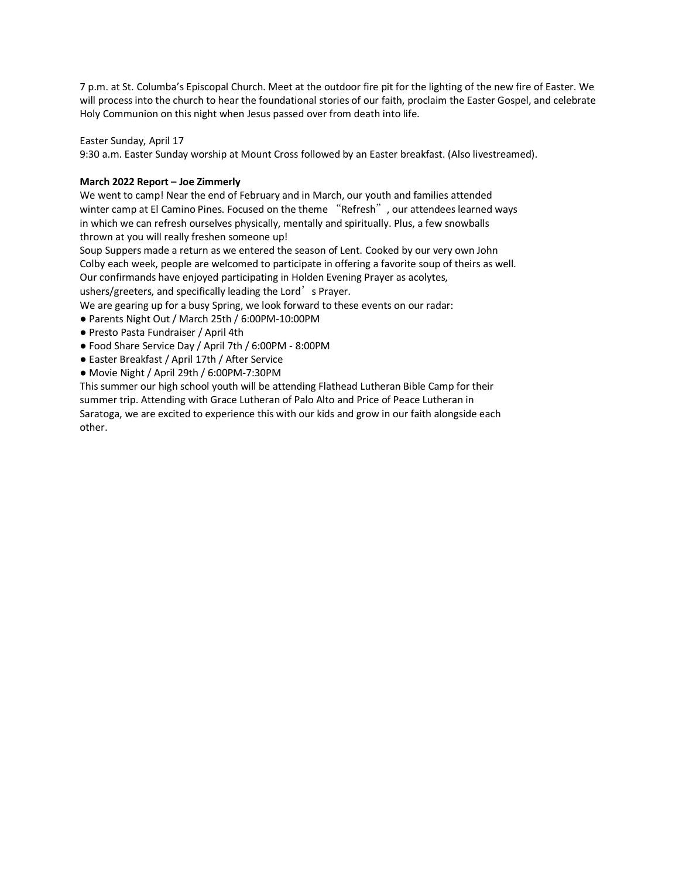7 p.m. at St. Columba's Episcopal Church. Meet at the outdoor fire pit for the lighting of the new fire of Easter. We will process into the church to hear the foundational stories of our faith, proclaim the Easter Gospel, and celebrate Holy Communion on this night when Jesus passed over from death into life.

Easter Sunday, April 17

9:30 a.m. Easter Sunday worship at Mount Cross followed by an Easter breakfast. (Also livestreamed).

### **March 2022 Report – Joe Zimmerly**

We went to camp! Near the end of February and in March, our youth and families attended winter camp at El Camino Pines. Focused on the theme "Refresh", our attendees learned ways in which we can refresh ourselves physically, mentally and spiritually. Plus, a few snowballs thrown at you will really freshen someone up!

Soup Suppers made a return as we entered the season of Lent. Cooked by our very own John Colby each week, people are welcomed to participate in offering a favorite soup of theirs as well. Our confirmands have enjoyed participating in Holden Evening Prayer as acolytes, ushers/greeters, and specifically leading the Lord's Prayer.

We are gearing up for a busy Spring, we look forward to these events on our radar:

- Parents Night Out / March 25th / 6:00PM-10:00PM
- Presto Pasta Fundraiser / April 4th
- Food Share Service Day / April 7th / 6:00PM 8:00PM
- Easter Breakfast / April 17th / After Service
- Movie Night / April 29th / 6:00PM-7:30PM

This summer our high school youth will be attending Flathead Lutheran Bible Camp for their summer trip. Attending with Grace Lutheran of Palo Alto and Price of Peace Lutheran in Saratoga, we are excited to experience this with our kids and grow in our faith alongside each other.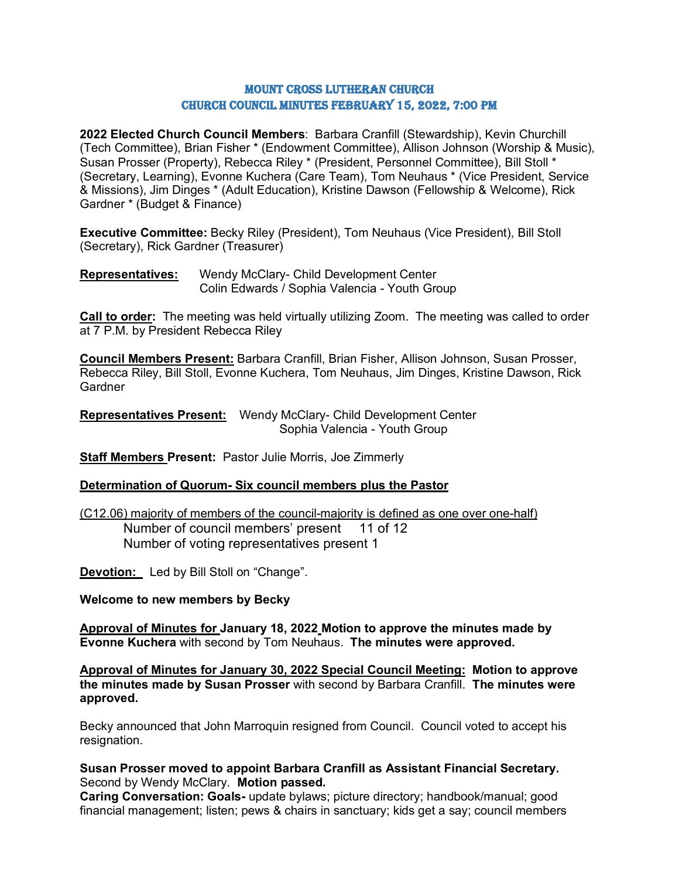### Mount Cross Lutheran Church Church Council Minutes February 15, 2022, 7:00 PM

**2022 Elected Church Council Members**: Barbara Cranfill (Stewardship), Kevin Churchill (Tech Committee), Brian Fisher \* (Endowment Committee), Allison Johnson (Worship & Music), Susan Prosser (Property), Rebecca Riley \* (President, Personnel Committee), Bill Stoll \* (Secretary, Learning), Evonne Kuchera (Care Team), Tom Neuhaus \* (Vice President, Service & Missions), Jim Dinges \* (Adult Education), Kristine Dawson (Fellowship & Welcome), Rick Gardner \* (Budget & Finance)

**Executive Committee:** Becky Riley (President), Tom Neuhaus (Vice President), Bill Stoll (Secretary), Rick Gardner (Treasurer)

**Representatives:** Wendy McClary- Child Development Center Colin Edwards / Sophia Valencia - Youth Group

**Call to order:** The meeting was held virtually utilizing Zoom. The meeting was called to order at 7 P.M. by President Rebecca Riley

**Council Members Present:** Barbara Cranfill, Brian Fisher, Allison Johnson, Susan Prosser, Rebecca Riley, Bill Stoll, Evonne Kuchera, Tom Neuhaus, Jim Dinges, Kristine Dawson, Rick Gardner

**Representatives Present:** Wendy McClary- Child Development Center Sophia Valencia - Youth Group

**Staff Members Present:** Pastor Julie Morris, Joe Zimmerly

### **Determination of Quorum- Six council members plus the Pastor**

(C12.06) majority of members of the council-majority is defined as one over one-half) Number of council members' present 11 of 12 Number of voting representatives present 1

**Devotion:** Led by Bill Stoll on "Change".

**Welcome to new members by Becky**

**Approval of Minutes for January 18, 2022 Motion to approve the minutes made by Evonne Kuchera** with second by Tom Neuhaus. **The minutes were approved.**

**Approval of Minutes for January 30, 2022 Special Council Meeting: Motion to approve the minutes made by Susan Prosser** with second by Barbara Cranfill. **The minutes were approved.**

Becky announced that John Marroquin resigned from Council. Council voted to accept his resignation.

### **Susan Prosser moved to appoint Barbara Cranfill as Assistant Financial Secretary.** Second by Wendy McClary. **Motion passed.**

**Caring Conversation: Goals-** update bylaws; picture directory; handbook/manual; good financial management; listen; pews & chairs in sanctuary; kids get a say; council members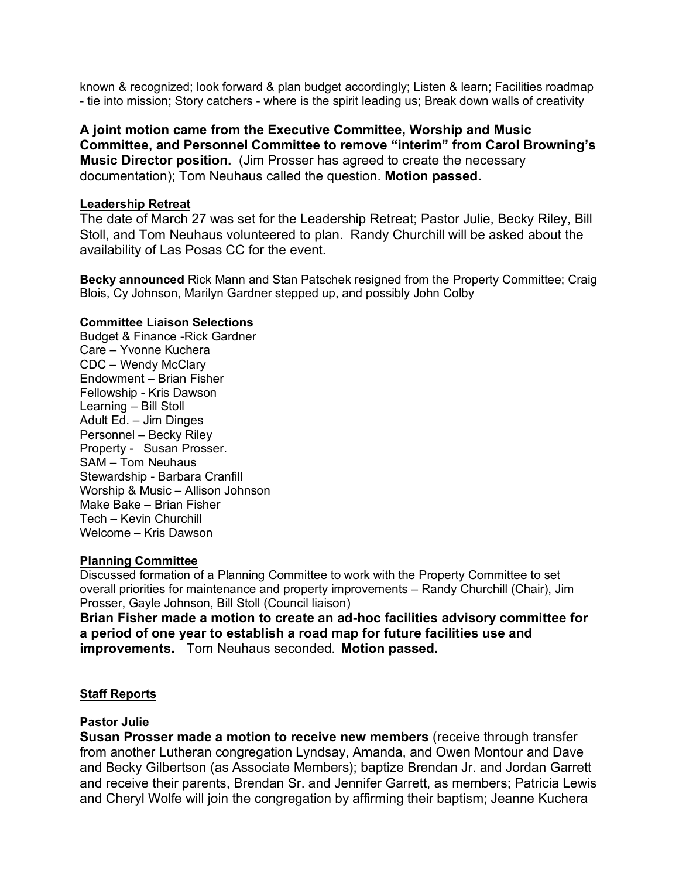known & recognized; look forward & plan budget accordingly; Listen & learn; Facilities roadmap - tie into mission; Story catchers - where is the spirit leading us; Break down walls of creativity

**A joint motion came from the Executive Committee, Worship and Music Committee, and Personnel Committee to remove "interim" from Carol Browning's Music Director position.** (Jim Prosser has agreed to create the necessary documentation); Tom Neuhaus called the question. **Motion passed.**

### **Leadership Retreat**

The date of March 27 was set for the Leadership Retreat; Pastor Julie, Becky Riley, Bill Stoll, and Tom Neuhaus volunteered to plan. Randy Churchill will be asked about the availability of Las Posas CC for the event.

**Becky announced** Rick Mann and Stan Patschek resigned from the Property Committee; Craig Blois, Cy Johnson, Marilyn Gardner stepped up, and possibly John Colby

### **Committee Liaison Selections**

Budget & Finance -Rick Gardner Care – Yvonne Kuchera CDC – Wendy McClary Endowment – Brian Fisher Fellowship - Kris Dawson Learning – Bill Stoll Adult Ed. – Jim Dinges Personnel – Becky Riley Property - Susan Prosser. SAM – Tom Neuhaus Stewardship - Barbara Cranfill Worship & Music – Allison Johnson Make Bake – Brian Fisher Tech – Kevin Churchill Welcome – Kris Dawson

### **Planning Committee**

Discussed formation of a Planning Committee to work with the Property Committee to set overall priorities for maintenance and property improvements – Randy Churchill (Chair), Jim Prosser, Gayle Johnson, Bill Stoll (Council liaison)

**Brian Fisher made a motion to create an ad-hoc facilities advisory committee for a period of one year to establish a road map for future facilities use and improvements.** Tom Neuhaus seconded. **Motion passed.**

## **Staff Reports**

### **Pastor Julie**

**Susan Prosser made a motion to receive new members** (receive through transfer from another Lutheran congregation Lyndsay, Amanda, and Owen Montour and Dave and Becky Gilbertson (as Associate Members); baptize Brendan Jr. and Jordan Garrett and receive their parents, Brendan Sr. and Jennifer Garrett, as members; Patricia Lewis and Cheryl Wolfe will join the congregation by affirming their baptism; Jeanne Kuchera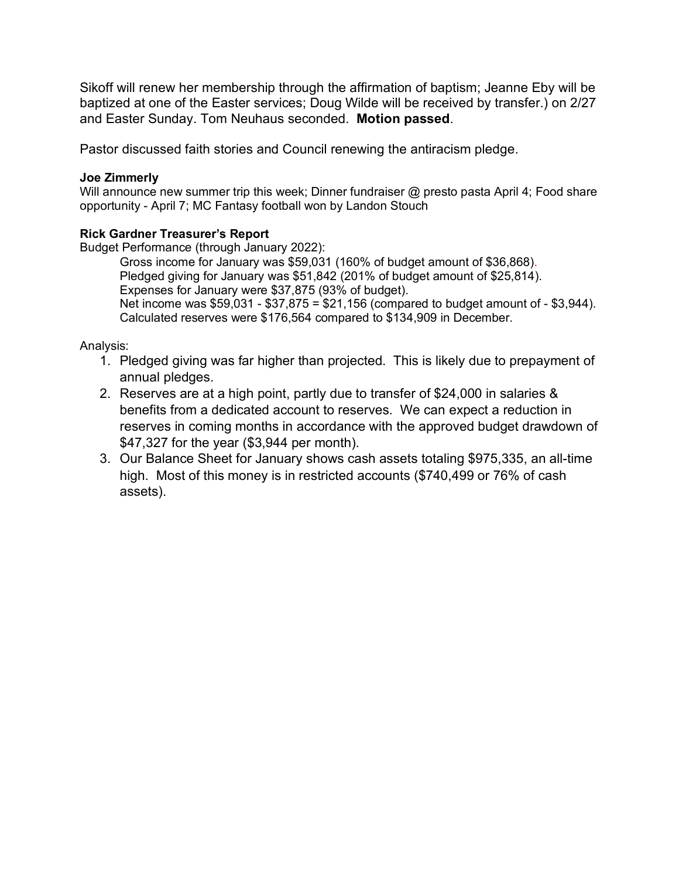Sikoff will renew her membership through the affirmation of baptism; Jeanne Eby will be baptized at one of the Easter services; Doug Wilde will be received by transfer.) on 2/27 and Easter Sunday. Tom Neuhaus seconded. **Motion passed**.

Pastor discussed faith stories and Council renewing the antiracism pledge.

## **Joe Zimmerly**

Will announce new summer trip this week; Dinner fundraiser @ presto pasta April 4; Food share opportunity - April 7; MC Fantasy football won by Landon Stouch

## **Rick Gardner Treasurer's Report**

Budget Performance (through January 2022):

Gross income for January was \$59,031 (160% of budget amount of \$36,868). Pledged giving for January was \$51,842 (201% of budget amount of \$25,814). Expenses for January were \$37,875 (93% of budget). Net income was \$59,031 - \$37,875 = \$21,156 (compared to budget amount of - \$3,944). Calculated reserves were \$176,564 compared to \$134,909 in December.

Analysis:

- 1. Pledged giving was far higher than projected. This is likely due to prepayment of annual pledges.
- 2. Reserves are at a high point, partly due to transfer of \$24,000 in salaries & benefits from a dedicated account to reserves. We can expect a reduction in reserves in coming months in accordance with the approved budget drawdown of \$47,327 for the year (\$3,944 per month).
- 3. Our Balance Sheet for January shows cash assets totaling \$975,335, an all-time high. Most of this money is in restricted accounts (\$740,499 or 76% of cash assets).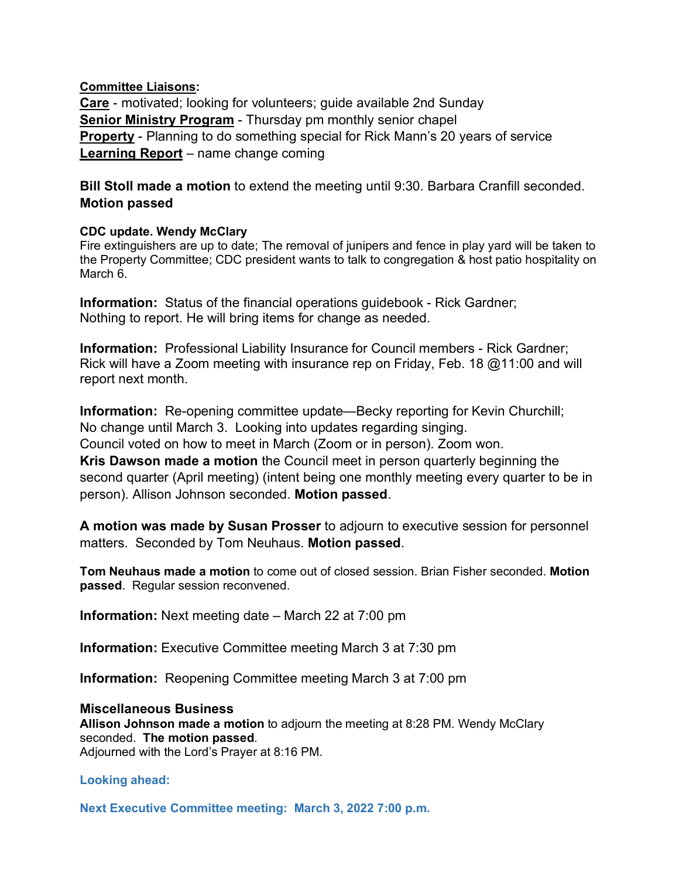## **Committee Liaisons:**

**Care** - motivated; looking for volunteers; guide available 2nd Sunday **Senior Ministry Program** - Thursday pm monthly senior chapel **Property** - Planning to do something special for Rick Mann's 20 years of service **Learning Report** – name change coming

**Bill Stoll made a motion** to extend the meeting until 9:30. Barbara Cranfill seconded. **Motion passed**

## **CDC update. Wendy McClary**

Fire extinguishers are up to date; The removal of junipers and fence in play yard will be taken to the Property Committee; CDC president wants to talk to congregation & host patio hospitality on March 6.

**Information:** Status of the financial operations guidebook - Rick Gardner; Nothing to report. He will bring items for change as needed.

**Information:** Professional Liability Insurance for Council members - Rick Gardner; Rick will have a Zoom meeting with insurance rep on Friday, Feb. 18 @11:00 and will report next month.

**Information:** Re-opening committee update—Becky reporting for Kevin Churchill; No change until March 3. Looking into updates regarding singing. Council voted on how to meet in March (Zoom or in person). Zoom won. **Kris Dawson made a motion** the Council meet in person quarterly beginning the second quarter (April meeting) (intent being one monthly meeting every quarter to be in

person). Allison Johnson seconded. **Motion passed**.

**A motion was made by Susan Prosser** to adjourn to executive session for personnel matters. Seconded by Tom Neuhaus. **Motion passed**.

**Tom Neuhaus made a motion** to come out of closed session. Brian Fisher seconded. **Motion passed**. Regular session reconvened.

**Information:** Next meeting date – March 22 at 7:00 pm

**Information:** Executive Committee meeting March 3 at 7:30 pm

**Information:** Reopening Committee meeting March 3 at 7:00 pm

## **Miscellaneous Business**

**Allison Johnson made a motion** to adjourn the meeting at 8:28 PM. Wendy McClary seconded. **The motion passed**.

Adjourned with the Lord's Prayer at 8:16 PM.

## **Looking ahead:**

**Next Executive Committee meeting: March 3, 2022 7:00 p.m.**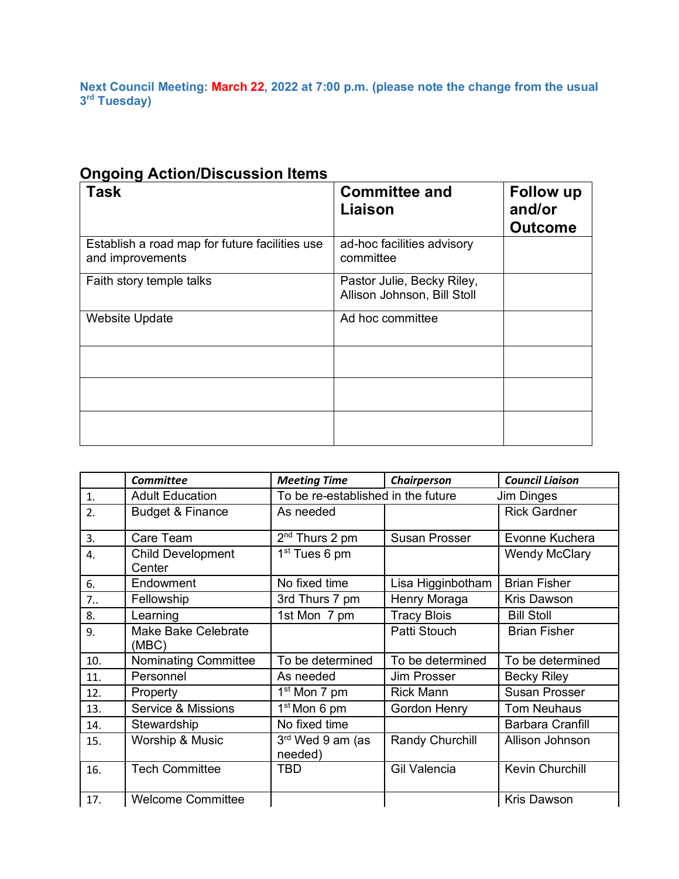**Next Council Meeting: March 22, 2022 at 7:00 p.m. (please note the change from the usual 3rd Tuesday)**

| <b>Task</b>                                                        | <b>Committee and</b><br><b>Liaison</b>                    | Follow up<br>and/or<br><b>Outcome</b> |
|--------------------------------------------------------------------|-----------------------------------------------------------|---------------------------------------|
| Establish a road map for future facilities use<br>and improvements | ad-hoc facilities advisory<br>committee                   |                                       |
| Faith story temple talks                                           | Pastor Julie, Becky Riley,<br>Allison Johnson, Bill Stoll |                                       |
| <b>Website Update</b>                                              | Ad hoc committee                                          |                                       |
|                                                                    |                                                           |                                       |
|                                                                    |                                                           |                                       |
|                                                                    |                                                           |                                       |

# **Ongoing Action/Discussion Items**

|                | <b>Committee</b>                    | <b>Meeting Time</b>         | Chairperson                                      | <b>Council Liaison</b>  |
|----------------|-------------------------------------|-----------------------------|--------------------------------------------------|-------------------------|
| $\mathbf{1}$ . | <b>Adult Education</b>              |                             | To be re-established in the future<br>Jim Dinges |                         |
| 2.             | <b>Budget &amp; Finance</b>         | As needed                   |                                                  | <b>Rick Gardner</b>     |
| 3.             | Care Team                           | $2nd$ Thurs 2 pm            | <b>Susan Prosser</b>                             | Evonne Kuchera          |
| 4.             | <b>Child Development</b><br>Center  | 1 <sup>st</sup> Tues 6 pm   |                                                  | <b>Wendy McClary</b>    |
| 6.             | Endowment                           | No fixed time               | Lisa Higginbotham                                | <b>Brian Fisher</b>     |
| 7 <sub>1</sub> | Fellowship                          | 3rd Thurs 7 pm              | Henry Moraga                                     | <b>Kris Dawson</b>      |
| 8.             | Learning                            | 1st Mon 7 pm                | <b>Tracy Blois</b>                               | <b>Bill Stoll</b>       |
| 9.             | <b>Make Bake Celebrate</b><br>(MBC) |                             | Patti Stouch                                     | <b>Brian Fisher</b>     |
| 10.            | Nominating Committee                | To be determined            | To be determined                                 | To be determined        |
| 11.            | Personnel                           | As needed                   | <b>Jim Prosser</b>                               | <b>Becky Riley</b>      |
| 12.            | Property                            | 1 <sup>st</sup> Mon 7 pm    | <b>Rick Mann</b>                                 | <b>Susan Prosser</b>    |
| 13.            | Service & Missions                  | 1 <sup>st</sup> Mon 6 pm    | <b>Gordon Henry</b>                              | <b>Tom Neuhaus</b>      |
| 14.            | Stewardship                         | No fixed time               |                                                  | <b>Barbara Cranfill</b> |
| 15.            | Worship & Music                     | 3rd Wed 9 am (as<br>needed) | Randy Churchill                                  | Allison Johnson         |
| 16.            | <b>Tech Committee</b>               | TBD                         | <b>Gil Valencia</b>                              | Kevin Churchill         |
| 17.            | <b>Welcome Committee</b>            |                             |                                                  | <b>Kris Dawson</b>      |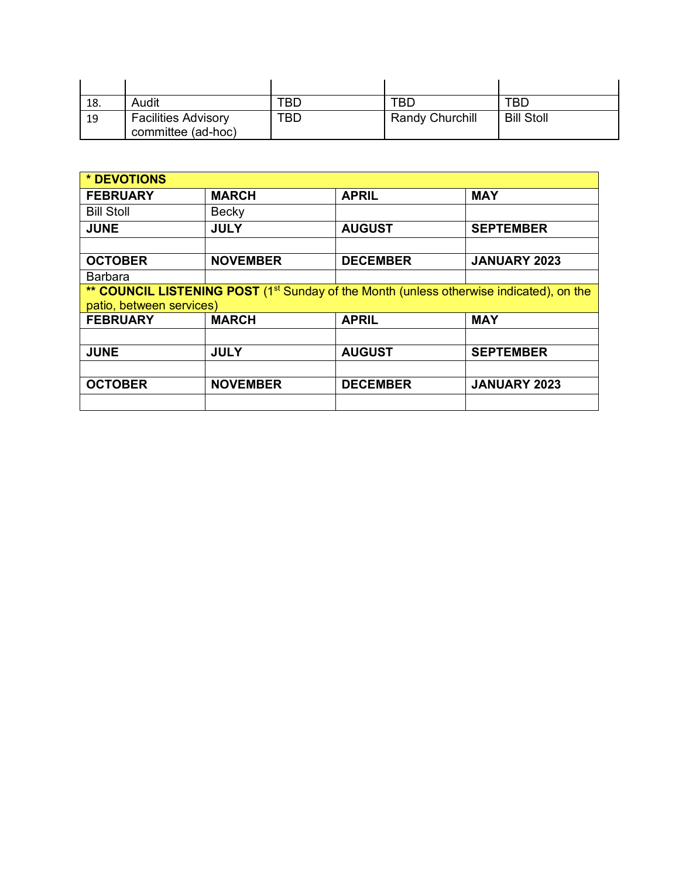| 18. | Audit                                            | TBD | TBD                    | TBD               |
|-----|--------------------------------------------------|-----|------------------------|-------------------|
| 19  | <b>Facilities Advisory</b><br>committee (ad-hoc) | TBD | <b>Randy Churchill</b> | <b>Bill Stoll</b> |

| * DEVOTIONS              |                                                                                                     |                 |                     |  |
|--------------------------|-----------------------------------------------------------------------------------------------------|-----------------|---------------------|--|
| <b>FEBRUARY</b>          | <b>MARCH</b>                                                                                        | <b>APRIL</b>    | <b>MAY</b>          |  |
| <b>Bill Stoll</b>        | Becky                                                                                               |                 |                     |  |
| <b>JUNE</b>              | <b>JULY</b>                                                                                         | <b>AUGUST</b>   | <b>SEPTEMBER</b>    |  |
|                          |                                                                                                     |                 |                     |  |
| <b>OCTOBER</b>           | <b>NOVEMBER</b>                                                                                     | <b>DECEMBER</b> | <b>JANUARY 2023</b> |  |
| <b>Barbara</b>           |                                                                                                     |                 |                     |  |
|                          | ** COUNCIL LISTENING POST (1 <sup>st</sup> Sunday of the Month (unless otherwise indicated), on the |                 |                     |  |
| patio, between services) |                                                                                                     |                 |                     |  |
| <b>FEBRUARY</b>          | <b>MARCH</b>                                                                                        | <b>APRIL</b>    | <b>MAY</b>          |  |
|                          |                                                                                                     |                 |                     |  |
| <b>JUNE</b>              | <b>JULY</b>                                                                                         | <b>AUGUST</b>   | <b>SEPTEMBER</b>    |  |
|                          |                                                                                                     |                 |                     |  |
| <b>OCTOBER</b>           | <b>NOVEMBER</b>                                                                                     | <b>DECEMBER</b> | <b>JANUARY 2023</b> |  |
|                          |                                                                                                     |                 |                     |  |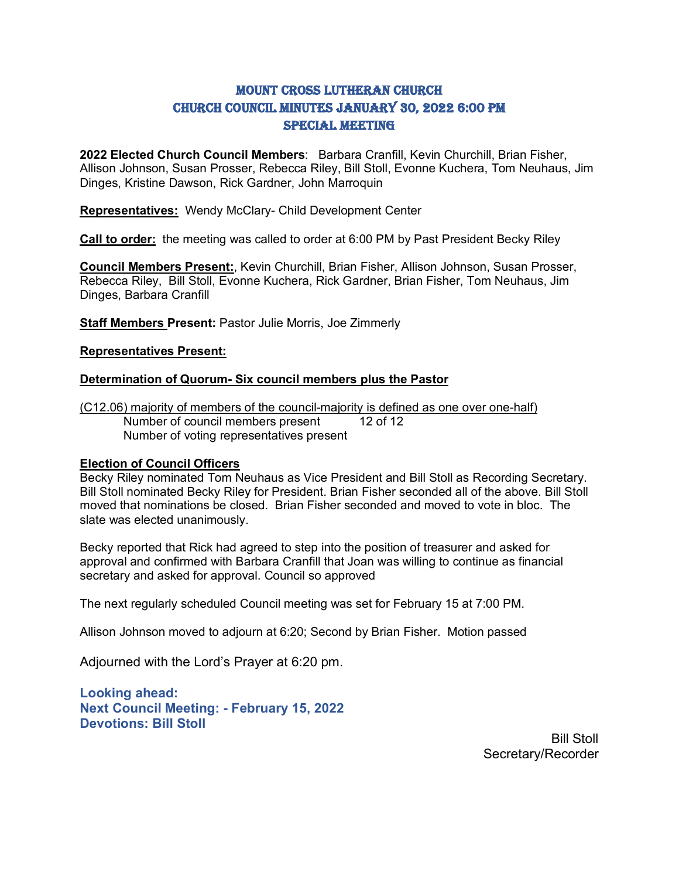# Mount Cross Lutheran Church Church Council Minutes January 30, 2022 6:00 PM SPECIAL MEETING

**2022 Elected Church Council Members**: Barbara Cranfill, Kevin Churchill, Brian Fisher, Allison Johnson, Susan Prosser, Rebecca Riley, Bill Stoll, Evonne Kuchera, Tom Neuhaus, Jim Dinges, Kristine Dawson, Rick Gardner, John Marroquin

**Representatives:** Wendy McClary- Child Development Center

**Call to order:** the meeting was called to order at 6:00 PM by Past President Becky Riley

**Council Members Present:**, Kevin Churchill, Brian Fisher, Allison Johnson, Susan Prosser, Rebecca Riley, Bill Stoll, Evonne Kuchera, Rick Gardner, Brian Fisher, Tom Neuhaus, Jim Dinges, Barbara Cranfill

**Staff Members Present:** Pastor Julie Morris, Joe Zimmerly

### **Representatives Present:**

### **Determination of Quorum- Six council members plus the Pastor**

(C12.06) majority of members of the council-majority is defined as one over one-half)<br>Number of council members present 12 of 12 Number of council members present Number of voting representatives present

### **Election of Council Officers**

Becky Riley nominated Tom Neuhaus as Vice President and Bill Stoll as Recording Secretary. Bill Stoll nominated Becky Riley for President. Brian Fisher seconded all of the above. Bill Stoll moved that nominations be closed. Brian Fisher seconded and moved to vote in bloc. The slate was elected unanimously.

Becky reported that Rick had agreed to step into the position of treasurer and asked for approval and confirmed with Barbara Cranfill that Joan was willing to continue as financial secretary and asked for approval. Council so approved

The next regularly scheduled Council meeting was set for February 15 at 7:00 PM.

Allison Johnson moved to adjourn at 6:20; Second by Brian Fisher. Motion passed

Adjourned with the Lord's Prayer at 6:20 pm.

**Looking ahead: Next Council Meeting: - February 15, 2022 Devotions: Bill Stoll**

> Bill Stoll Secretary/Recorder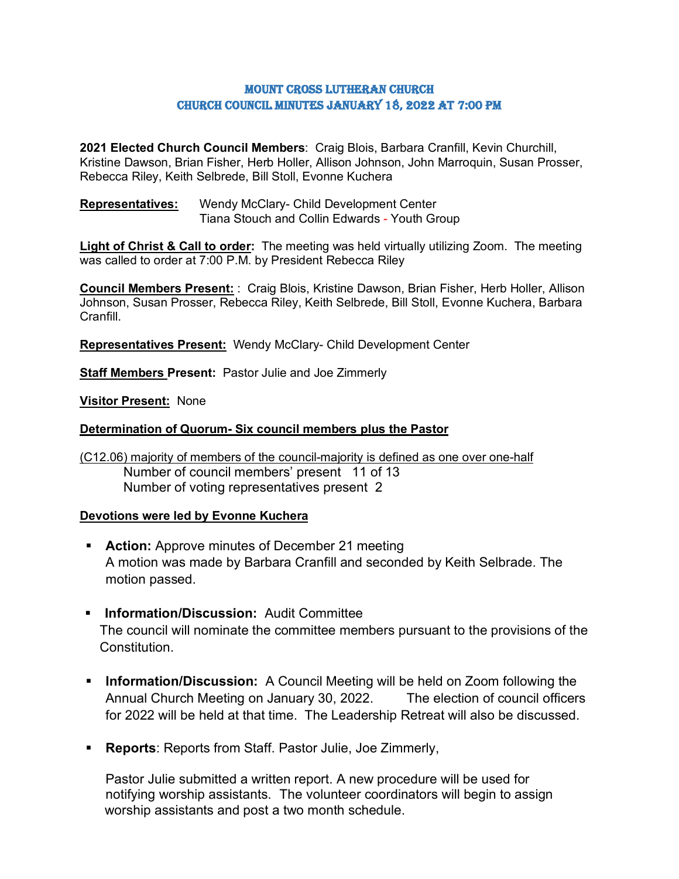## Mount Cross Lutheran Church Church Council Minutes January 18, 2022 AT 7:00 PM

**2021 Elected Church Council Members**: Craig Blois, Barbara Cranfill, Kevin Churchill, Kristine Dawson, Brian Fisher, Herb Holler, Allison Johnson, John Marroquin, Susan Prosser, Rebecca Riley, Keith Selbrede, Bill Stoll, Evonne Kuchera

**Representatives:** Wendy McClary- Child Development Center Tiana Stouch and Collin Edwards - Youth Group

**Light of Christ & Call to order:** The meeting was held virtually utilizing Zoom. The meeting was called to order at 7:00 P.M. by President Rebecca Riley

**Council Members Present:** : Craig Blois, Kristine Dawson, Brian Fisher, Herb Holler, Allison Johnson, Susan Prosser, Rebecca Riley, Keith Selbrede, Bill Stoll, Evonne Kuchera, Barbara Cranfill.

**Representatives Present:** Wendy McClary- Child Development Center

**Staff Members Present:** Pastor Julie and Joe Zimmerly

**Visitor Present:** None

## **Determination of Quorum- Six council members plus the Pastor**

(C12.06) majority of members of the council-majority is defined as one over one-half Number of council members' present 11 of 13 Number of voting representatives present 2

## **Devotions were led by Evonne Kuchera**

- **Action:** Approve minutes of December 21 meeting A motion was made by Barbara Cranfill and seconded by Keith Selbrade. The motion passed.
- **Information/Discussion:** Audit Committee The council will nominate the committee members pursuant to the provisions of the Constitution.
- **Information/Discussion:** A Council Meeting will be held on Zoom following the Annual Church Meeting on January 30, 2022. The election of council officers for 2022 will be held at that time. The Leadership Retreat will also be discussed.
- **Reports**: Reports from Staff. Pastor Julie, Joe Zimmerly,

Pastor Julie submitted a written report. A new procedure will be used for notifying worship assistants. The volunteer coordinators will begin to assign worship assistants and post a two month schedule.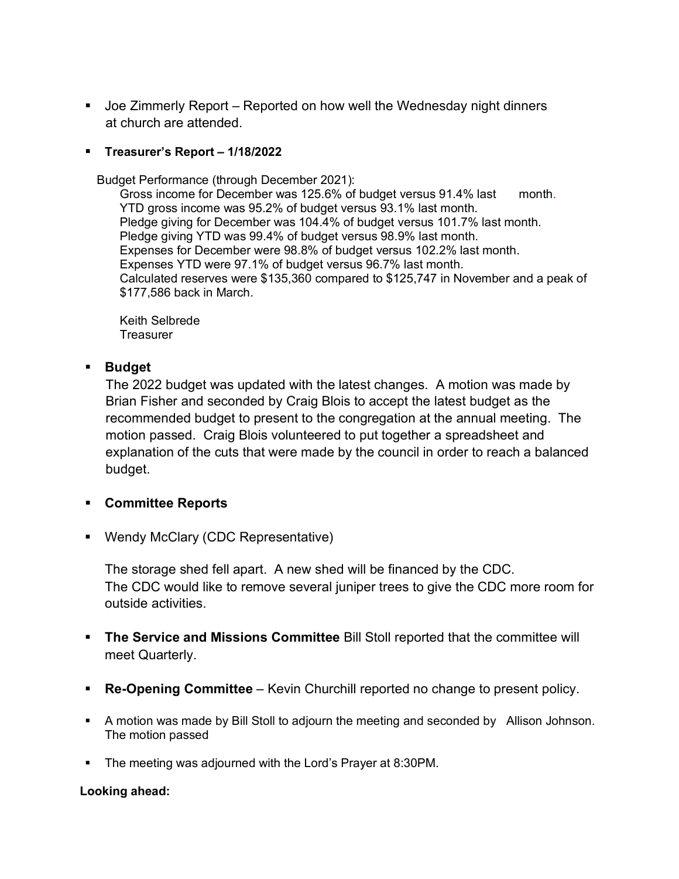Joe Zimmerly Report – Reported on how well the Wednesday night dinners at church are attended.

## **Treasurer's Report – 1/18/2022**

Budget Performance (through December 2021):

Gross income for December was 125.6% of budget versus 91.4% last month. YTD gross income was 95.2% of budget versus 93.1% last month. Pledge giving for December was 104.4% of budget versus 101.7% last month. Pledge giving YTD was 99.4% of budget versus 98.9% last month. Expenses for December were 98.8% of budget versus 102.2% last month. Expenses YTD were 97.1% of budget versus 96.7% last month. Calculated reserves were \$135,360 compared to \$125,747 in November and a peak of \$177,586 back in March.

Keith Selbrede **Treasurer** 

# **Budget**

The 2022 budget was updated with the latest changes. A motion was made by Brian Fisher and seconded by Craig Blois to accept the latest budget as the recommended budget to present to the congregation at the annual meeting. The motion passed. Craig Blois volunteered to put together a spreadsheet and explanation of the cuts that were made by the council in order to reach a balanced budget.

# **Committee Reports**

■ Wendy McClary (CDC Representative)

The storage shed fell apart. A new shed will be financed by the CDC. The CDC would like to remove several juniper trees to give the CDC more room for outside activities.

- **The Service and Missions Committee** Bill Stoll reported that the committee will meet Quarterly.
- **Re-Opening Committee** Kevin Churchill reported no change to present policy.
- A motion was made by Bill Stoll to adjourn the meeting and seconded by Allison Johnson. The motion passed
- **The meeting was adjourned with the Lord's Prayer at 8:30PM.**

## **Looking ahead:**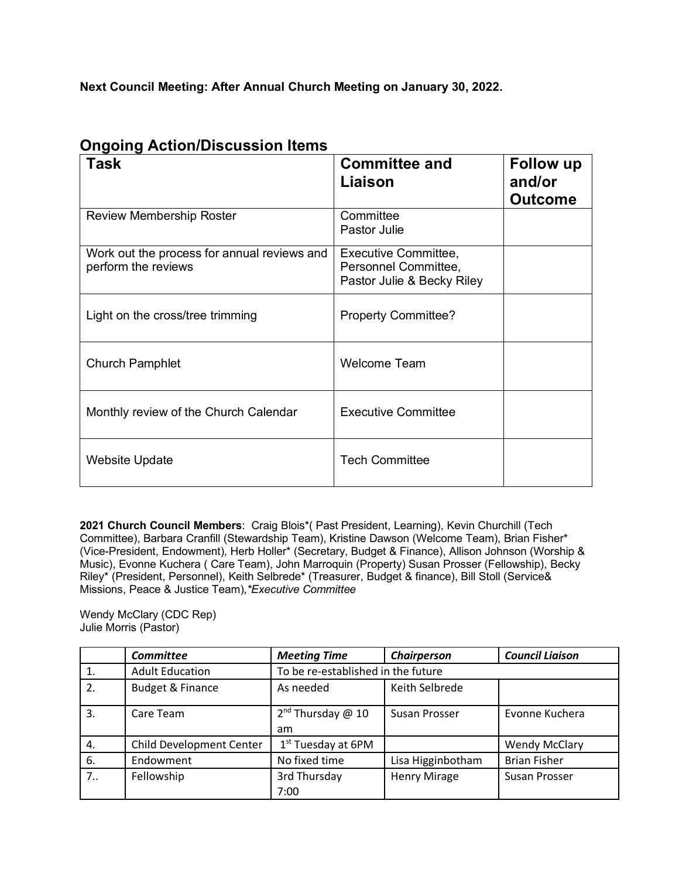**Next Council Meeting: After Annual Church Meeting on January 30, 2022.**

| <b>Task</b>                                                        | <b>Committee and</b><br>Liaison                                            | <b>Follow up</b><br>and/or<br><b>Outcome</b> |
|--------------------------------------------------------------------|----------------------------------------------------------------------------|----------------------------------------------|
| <b>Review Membership Roster</b>                                    | Committee<br>Pastor Julie                                                  |                                              |
| Work out the process for annual reviews and<br>perform the reviews | Executive Committee,<br>Personnel Committee,<br>Pastor Julie & Becky Riley |                                              |
| Light on the cross/tree trimming                                   | <b>Property Committee?</b>                                                 |                                              |
| <b>Church Pamphlet</b>                                             | <b>Welcome Team</b>                                                        |                                              |
| Monthly review of the Church Calendar                              | <b>Executive Committee</b>                                                 |                                              |
| <b>Website Update</b>                                              | <b>Tech Committee</b>                                                      |                                              |

# **Ongoing Action/Discussion Items**

**2021 Church Council Members**: Craig Blois\*( Past President, Learning), Kevin Churchill (Tech Committee), Barbara Cranfill (Stewardship Team), Kristine Dawson (Welcome Team), Brian Fisher\* (Vice-President, Endowment), Herb Holler\* (Secretary, Budget & Finance), Allison Johnson (Worship & Music), Evonne Kuchera ( Care Team), John Marroquin (Property) Susan Prosser (Fellowship), Becky Riley\* (President, Personnel), Keith Selbrede\* (Treasurer, Budget & finance), Bill Stoll (Service& Missions, Peace & Justice Team),*\*Executive Committee* 

Wendy McClary (CDC Rep) Julie Morris (Pastor)

|     | <b>Committee</b>            | <b>Meeting Time</b>                | Chairperson         | <b>Council Liaison</b> |
|-----|-----------------------------|------------------------------------|---------------------|------------------------|
|     | <b>Adult Education</b>      | To be re-established in the future |                     |                        |
| 2.  | <b>Budget &amp; Finance</b> | As needed                          | Keith Selbrede      |                        |
| 3.  | Care Team                   | $2nd$ Thursday @ 10<br>am          | Susan Prosser       | Evonne Kuchera         |
| 4.  | Child Development Center    | $1st$ Tuesday at 6PM               |                     | <b>Wendy McClary</b>   |
| 6.  | Endowment                   | No fixed time                      | Lisa Higginbotham   | <b>Brian Fisher</b>    |
| 7.5 | Fellowship                  | 3rd Thursday<br>7:00               | <b>Henry Mirage</b> | Susan Prosser          |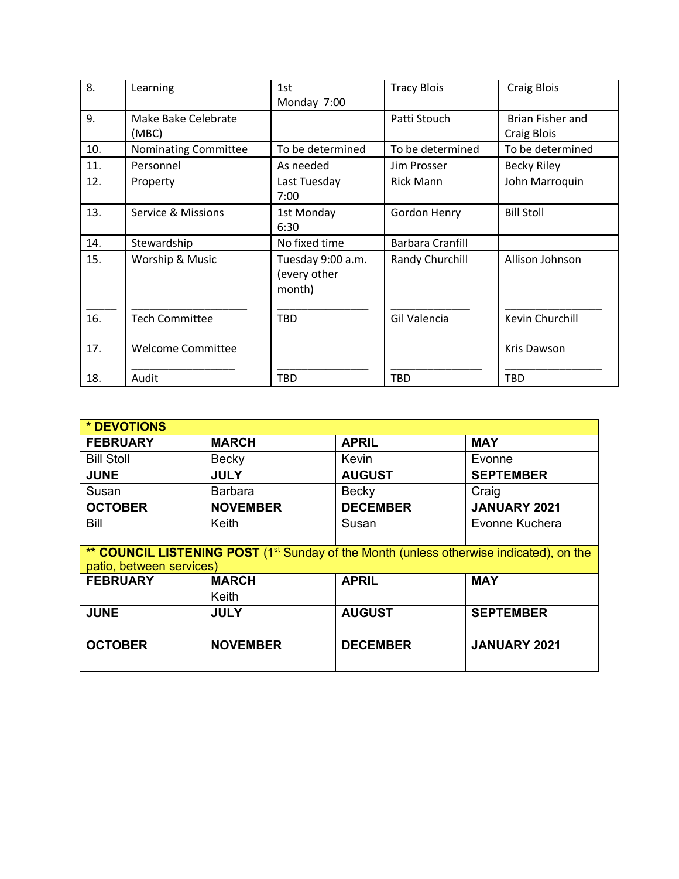| 8.  | Learning                      | 1st<br>Monday 7:00                          | <b>Tracy Blois</b>      | <b>Craig Blois</b>              |
|-----|-------------------------------|---------------------------------------------|-------------------------|---------------------------------|
| 9.  | Make Bake Celebrate<br>(MBC)  |                                             | Patti Stouch            | Brian Fisher and<br>Craig Blois |
| 10. | <b>Nominating Committee</b>   | To be determined                            | To be determined        | To be determined                |
| 11. | Personnel                     | As needed                                   | Jim Prosser             | <b>Becky Riley</b>              |
| 12. | Property                      | Last Tuesday<br>7:00                        | <b>Rick Mann</b>        | John Marroquin                  |
| 13. | <b>Service &amp; Missions</b> | 1st Monday<br>6:30                          | <b>Gordon Henry</b>     | <b>Bill Stoll</b>               |
| 14. | Stewardship                   | No fixed time                               | <b>Barbara Cranfill</b> |                                 |
| 15. | Worship & Music               | Tuesday 9:00 a.m.<br>(every other<br>month) | Randy Churchill         | Allison Johnson                 |
| 16. | <b>Tech Committee</b>         | <b>TBD</b>                                  | Gil Valencia            | Kevin Churchill                 |
| 17. | <b>Welcome Committee</b>      |                                             |                         | Kris Dawson                     |
| 18. | Audit                         | <b>TBD</b>                                  | TBD                     | <b>TBD</b>                      |

| * DEVOTIONS              |                                                                                                     |                 |                     |  |
|--------------------------|-----------------------------------------------------------------------------------------------------|-----------------|---------------------|--|
| <b>FEBRUARY</b>          | <b>MARCH</b>                                                                                        | <b>APRIL</b>    | <b>MAY</b>          |  |
| <b>Bill Stoll</b>        | <b>Becky</b>                                                                                        | Kevin           | Evonne              |  |
| <b>JUNE</b>              | <b>JULY</b>                                                                                         | <b>AUGUST</b>   | <b>SEPTEMBER</b>    |  |
| Susan                    | <b>Barbara</b>                                                                                      | Becky           | Craig               |  |
| <b>OCTOBER</b>           | <b>NOVEMBER</b>                                                                                     | <b>DECEMBER</b> | JANUARY 2021        |  |
| Bill                     | Keith                                                                                               | Susan           | Evonne Kuchera      |  |
|                          |                                                                                                     |                 |                     |  |
| patio, between services) | ** COUNCIL LISTENING POST (1 <sup>st</sup> Sunday of the Month (unless otherwise indicated), on the |                 |                     |  |
| <b>FEBRUARY</b>          | <b>MARCH</b>                                                                                        | <b>APRIL</b>    | <b>MAY</b>          |  |
|                          | Keith                                                                                               |                 |                     |  |
| <b>JUNE</b>              | <b>JULY</b>                                                                                         | <b>AUGUST</b>   | <b>SEPTEMBER</b>    |  |
|                          |                                                                                                     |                 |                     |  |
| <b>OCTOBER</b>           | <b>NOVEMBER</b>                                                                                     | <b>DECEMBER</b> | <b>JANUARY 2021</b> |  |
|                          |                                                                                                     |                 |                     |  |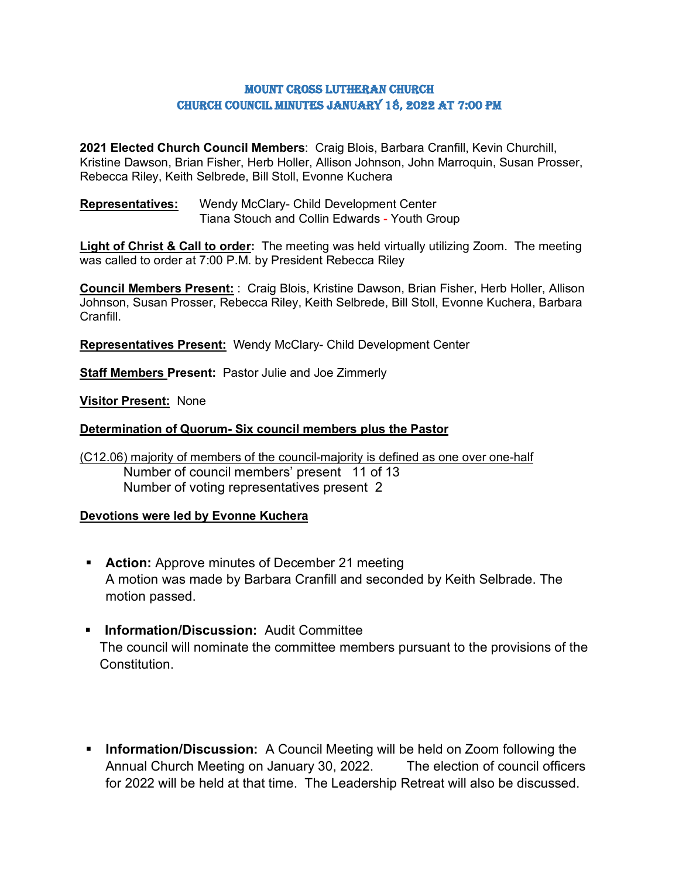## Mount Cross Lutheran Church Church Council Minutes January 18, 2022 AT 7:00 PM

**2021 Elected Church Council Members**: Craig Blois, Barbara Cranfill, Kevin Churchill, Kristine Dawson, Brian Fisher, Herb Holler, Allison Johnson, John Marroquin, Susan Prosser, Rebecca Riley, Keith Selbrede, Bill Stoll, Evonne Kuchera

**Representatives:** Wendy McClary- Child Development Center Tiana Stouch and Collin Edwards - Youth Group

**Light of Christ & Call to order:** The meeting was held virtually utilizing Zoom. The meeting was called to order at 7:00 P.M. by President Rebecca Riley

**Council Members Present:** : Craig Blois, Kristine Dawson, Brian Fisher, Herb Holler, Allison Johnson, Susan Prosser, Rebecca Riley, Keith Selbrede, Bill Stoll, Evonne Kuchera, Barbara Cranfill.

**Representatives Present:** Wendy McClary- Child Development Center

**Staff Members Present:** Pastor Julie and Joe Zimmerly

**Visitor Present:** None

## **Determination of Quorum- Six council members plus the Pastor**

(C12.06) majority of members of the council-majority is defined as one over one-half Number of council members' present 11 of 13 Number of voting representatives present 2

## **Devotions were led by Evonne Kuchera**

- **Action:** Approve minutes of December 21 meeting A motion was made by Barbara Cranfill and seconded by Keith Selbrade. The motion passed.
- **Information/Discussion:** Audit Committee The council will nominate the committee members pursuant to the provisions of the Constitution.
- **Information/Discussion:** A Council Meeting will be held on Zoom following the Annual Church Meeting on January 30, 2022. The election of council officers for 2022 will be held at that time. The Leadership Retreat will also be discussed.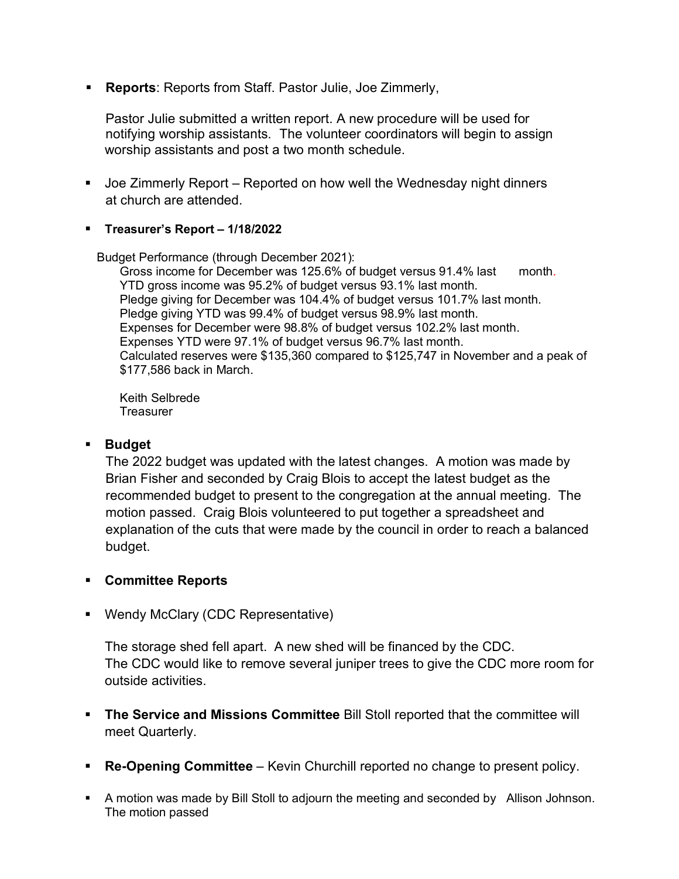**Reports**: Reports from Staff. Pastor Julie, Joe Zimmerly,

Pastor Julie submitted a written report. A new procedure will be used for notifying worship assistants. The volunteer coordinators will begin to assign worship assistants and post a two month schedule.

- Joe Zimmerly Report Reported on how well the Wednesday night dinners at church are attended.
- **Treasurer's Report – 1/18/2022**

Budget Performance (through December 2021):

Gross income for December was 125.6% of budget versus 91.4% last month. YTD gross income was 95.2% of budget versus 93.1% last month. Pledge giving for December was 104.4% of budget versus 101.7% last month. Pledge giving YTD was 99.4% of budget versus 98.9% last month. Expenses for December were 98.8% of budget versus 102.2% last month. Expenses YTD were 97.1% of budget versus 96.7% last month. Calculated reserves were \$135,360 compared to \$125,747 in November and a peak of \$177,586 back in March.

Keith Selbrede **Treasurer** 

# **Budget**

The 2022 budget was updated with the latest changes. A motion was made by Brian Fisher and seconded by Craig Blois to accept the latest budget as the recommended budget to present to the congregation at the annual meeting. The motion passed. Craig Blois volunteered to put together a spreadsheet and explanation of the cuts that were made by the council in order to reach a balanced budget.

# **Committee Reports**

■ Wendy McClary (CDC Representative)

The storage shed fell apart. A new shed will be financed by the CDC. The CDC would like to remove several juniper trees to give the CDC more room for outside activities.

- **The Service and Missions Committee** Bill Stoll reported that the committee will meet Quarterly.
- **Re-Opening Committee** Kevin Churchill reported no change to present policy.
- A motion was made by Bill Stoll to adjourn the meeting and seconded by Allison Johnson. The motion passed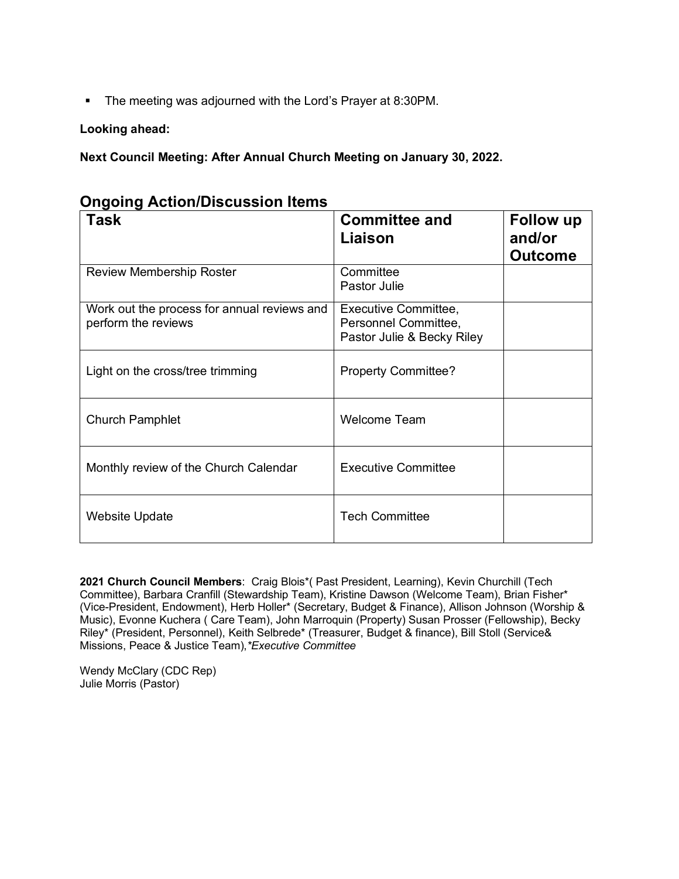• The meeting was adjourned with the Lord's Prayer at 8:30PM.

## **Looking ahead:**

**Next Council Meeting: After Annual Church Meeting on January 30, 2022.**

| . ສ - . ສ<br><b>Task</b>                                           | <b>Committee and</b><br>Liaison                                            | <b>Follow up</b><br>and/or<br><b>Outcome</b> |
|--------------------------------------------------------------------|----------------------------------------------------------------------------|----------------------------------------------|
| <b>Review Membership Roster</b>                                    | Committee<br>Pastor Julie                                                  |                                              |
| Work out the process for annual reviews and<br>perform the reviews | Executive Committee,<br>Personnel Committee,<br>Pastor Julie & Becky Riley |                                              |
| Light on the cross/tree trimming                                   | <b>Property Committee?</b>                                                 |                                              |
| <b>Church Pamphlet</b>                                             | <b>Welcome Team</b>                                                        |                                              |
| Monthly review of the Church Calendar                              | <b>Executive Committee</b>                                                 |                                              |
| <b>Website Update</b>                                              | <b>Tech Committee</b>                                                      |                                              |

|  | <b>Ongoing Action/Discussion Items</b> |  |
|--|----------------------------------------|--|
|--|----------------------------------------|--|

**2021 Church Council Members**: Craig Blois\*( Past President, Learning), Kevin Churchill (Tech Committee), Barbara Cranfill (Stewardship Team), Kristine Dawson (Welcome Team), Brian Fisher\* (Vice-President, Endowment), Herb Holler\* (Secretary, Budget & Finance), Allison Johnson (Worship & Music), Evonne Kuchera ( Care Team), John Marroquin (Property) Susan Prosser (Fellowship), Becky Riley\* (President, Personnel), Keith Selbrede\* (Treasurer, Budget & finance), Bill Stoll (Service& Missions, Peace & Justice Team),*\*Executive Committee* 

Wendy McClary (CDC Rep) Julie Morris (Pastor)